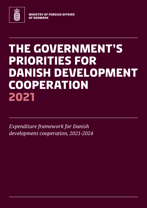

**MINISTRY OF FOREIGN AFFAIRS OF DENMARK**

# **THE GOVERNMENT'S PRIORITIES FOR DANISH DEVELOPMENT COOPERATION 2021**

*Expenditure framework for Danish development cooperation, 2021-2024*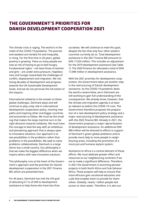## **The Government's priorities for Danish development cooperation 2021**

The climate crisis is raging. The world is in the midst of the COVID-19 pandemic. The poorest and weakest are hardest hit and inequality is rising. For the first time in 20 years, global poverty is growing. Twice as many people are now at risk of having to go to bed hungry. Fundamental rights – not least those of women and girls – are under extra pressure. Hopelessness and hunger exacerbate the challenges of conflict, displacement and migration. We risk losing decades of development and progress towards the UN Sustainable Development Goals. And we do not yet know the full extent of the impacts.

International solidarity is the answer to these global challenges. Denmark plays and will continue to play a key role in international development cooperation policy, charting new paths and inspiring other and bigger countries and economies to follow. We must be the small cog that makes the large machine turn in the right direction towards solidarity. We must have the courage to lead the way with an ambitious and pioneering approach that is always open to innovative solutions. Our approach is to see possibilities in the problems rather than problems in the possibilities. We seek to solve problems collaboratively. Denmark is a large donor but a small country. Our philosophy is that we make the biggest difference when we inspire others with new innovative solutions.

This philosophy runs at the heart of the Government's approach and the priorities for Danish development cooperation in the 2021 Finance Bill, which are presented here.

For 44 years, Denmark has met the UN goal of allocating 0.7 % of GNI to development assistance to help those who have less than ourselves. We will continue to meet this goal, despite the fact that only four other western countries currently do so. Total development assistance in the 2021 Finance Bill amounts to DKK 17,033 million. This includes an adjustment for the 2019 development assistance (see Table 1). The 2020 Finance Act allocated a total of DKK 17,098 million in development assistance.

With the 2021 priorities for development cooperation, the Government takes yet another step in the restructuring of Danish development assistance. As the COVID-19 pandemic deals the world a severe blow, we in Denmark are still working to gain full understanding of the consequences. We already know, however, that the climate and migration agenda is at least as relevant as before the COVID-19 crisis. The Government therefore proposes the preparation of a new development policy strategy and a major restructuring of development assistance with the 2022 Finance Bill. Already in 2021, the Government proposes a major reprioritisation of development assistance. An additional DKK 800 million will be directed to efforts in support of Denmark's green global ambitions and to provide more help to more people in neighbouring areas, including the promotion of a more just and humane asylum system.

Assistance to Africa is a central element of these efforts. We must dedicate greater effort and resources to our neighbouring continent if we are to make a significant difference. Therefore, in 2021 the Government is launching pioneer projects in both North Africa and Sub-Saharan Africa. These projects will help to ensure that more Africans gain vocational education and a job that enables them to provide for themselves. Globally, nearly 1 billion people lack access to clean water. Therefore, it is also our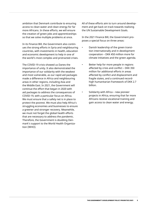ambition that Denmark contribute to ensuring access to clean water and clean energy for far more Africans. In these efforts, we will ensure the creation of green jobs and apprenticeships so that we solve multiple problems at once.

In its Finance Bill, the Government also continues the strong efforts in Syria and neighbouring countries, with investments in health, education and economic development to help in one of the world's most complex and protracted crises.

The COVID-19 crisis showed us Danes the importance of unity. It also demonstrated the importance of our solidarity with the weakest and most vulnerable, as our rapid aid packages made a difference in Africa and neighbouring areas in other regions, including Asia and the Middle East. In 2021, the Government will continue the effort that began in 2020 with aid packages to address the consequences of COVID-19, with a particular focus on Africa. We must ensure that a safety net is in place to protect the poorest. We must also help Africa's struggling economies and businesses to ensure a greener and stronger recovery. Meanwhile, we must not forget the global health efforts that are necessary to address the pandemic. Therefore, the Government is doubling Denmark's support to the World Health Organization (WHO).

All of these efforts aim to turn around development and get back on track towards realising the UN Sustainable Development Goals.

In the 2021 Finance Bill, the Government proposes a special focus on three areas:

- Danish leadership of the green transition internationally and in development cooperation – DKK 450 million more for climate initiatives and the green agenda.
- Better help for more people in regions affected by crisis and conflict – DKK 350 million for additional efforts in areas affected by conflict and displacement and fragile states, and a continued recordhigh humanitarian framework of DKK 2.7 billion.
- Solidarity with Africa new pioneer projects in Africa, ensuring that far more Africans receive vocational training and gain access to clean water and energy.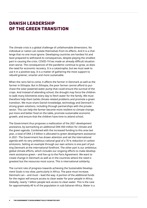# **Danish leadership of the green transition**

The climate crisis is a global challenge of unfathomable dimensions. No individual or nation can isolate themselves from its effects. And it is a challenge that no one must ignore. Developing countries are hardest hit and least prepared to withstand its consequences, despite playing the smallest part in causing the crisis. COVID-19 has made an already difficult situation even worse. The consequences of the pandemic continue to grow, as does the need for economic recovery. It is a catastrophe, but we must seek to use it in a positive way. It is a matter of gathering the most support to rebuild greener, smarter and more sustainable.

When the rains fail to come, it affects the farmer in Denmark as well as the farmer in Ethiopia. But in Ethiopia, the poor farmer cannot afford to purchase the solar-powered water pump that could ensure the survival of the crops. And instead of attending school, the drought may force the children to walk many kilometres every day to fetch water for the family. We must therefore help them tackle climate related problems and promote a green transition. We must share Danish knowledge, technology and Denmark's strong green solutions, including through partnerships with the private sector. This can help the farmer become more resilient to climate change, put more and better food on the table, promote sustainable economic growth, and ensure that the children have time to attend school.

The Government thus proposes a reallocation of the 2021 development assistance, by earmarking an additional DKK 450 million for climate and the green agenda. Combined with the increased funding to this area last year, a total of DKK 2.9 billion is allocated to green development assistance in 2021. The Government has drawn attention and set the international agenda with its very ambitious national goal of a 70 % reduction in carbon emissions. Setting an example through our own actions is one part of putting Denmark at the international forefront. The other part is our ambitious global climate efforts, which includes our ongoing efforts to make development assistance green – and live up to the Paris Agreement. We want to create change in Denmark as well as in the countries where the need is greatest but the resources most scarce. This is international solidarity.

The current rate of progress towards achieving the Sustainable Development Goals is too slow, particularly in Africa. The pace must increase. Denmark can – and must – lead the way. A portion of the additional funds for the region will ensure access to clean water for poor people in Africa. Globally, nearly 1 billion people lack access to clean water. This is the case for approximately 40 % of the population in sub-Saharan Africa. Water is a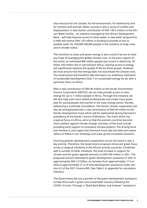vital resource for the climate, for the environment, for biodiversity and for humans and animals. Water scarcity is also a cause of conflict and displacement. A new Danish contribution of DKK 149.5 million to the African Water Facility – an initiative managed by the African Development Bank – will help improve access to clean water. A new water programme in Mali will receive DKK 120 million in funding to provide access to potable water for 250,000-300,000 people in the outskirts of large cities and in smaller towns.

The transition to clean and green energy is also crucial if we are to have any hope of managing the global climate crisis. In the poor regions of the world, an estimated 800 million people lack access to electricity. Of these, 550 million live in sub-Saharan Africa. Gaining access to energy will significantly improve the quality of life for these people. However, we must ensure that this energy does not exacerbate the climate crisis. The Government will therefore take the lead in an ambitious realization of Sustainable Development Goal 7 on sustainable energy for all, with a particular focus on Africa.

With a new contribution of DKK 80 million to the Nordic Environment Finance Corporation (NEFCO), we can help provide access to solar energy for up to 1 million people in Africa. Through this initiative, we will also help train more skilled professionals and create more green jobs for young people and women in the solar energy sector, thereby addressing a multitude of problems. The Nordic climate cooperation will also be strengthened with a new contribution of DKK 40 million to the Nordic Development Fund, which will be replenished during Denmark's presidency of the Nordic Council of Ministers. This fund, which has a special focus on Africa, aims to help the poorest countries become more resilient against climate change. Activities of the fund include providing early support to innovative climate projects. The driving force and mindset is once again that Denmark must take the lead and inspire others to follow in our footsteps and scale up the innovative solutions.

Ensuring greener development cooperation across the board is also a key priority. Therefore, the Government proposes enhanced green focus across a range of initiatives in the African priority countries. Combined with a number of other initiatives, the total increase in support for climate and the green agenda amounts to DKK 450 million in 2021. The proposed amount allocated to green development assistance in 2021 is approximately DKK 2.9 billion, an increase from approximately 17 % in 2020 to approximately 21 % of total development assistance under Section 6.3 of the 2021 Finance Bill. (See Table 2 in appendix for calculation method.)

The Government will use a portion of the green development assistance to help Africa with a green and sustainable recovery following the COVID-19 crisis. Through a "Build Back Better and Greener" initiative in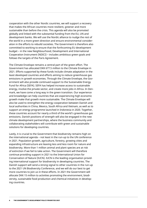cooperation with the other Nordic countries, we will support a recovery that makes the African countries more resilient, greener and more sustainable than before the crisis. This agenda will also be promoted globally and linked with the substantial funding from the EU, UN and development banks. We will use the Nordic alliance to nudge the rest of the world in a more green direction and ensure environmental consideration in the efforts to rebuild societies. The Government is therefore also committed to working to ensure that the forthcoming EU development budget – in the new Neighbourhood, Development and International Cooperation Instrument (NDICI) – includes ambitious green goals and follows the targets of the Paris Agreement.

The Climate Envelope remains a central part of the green effort. The Government has allocated DKK 677.5 million to the Climate Envelope in 2021. Efforts supported by these funds include climate adaptation in the least developed countries and efforts aiming to reduce greenhouse gas emissions in growth economies. Through the Climate Envelope, the Government will also provide continued support to the Sustainable Energy Fund for Africa (SEFA). SEFA has helped increase access to sustainable energy, involve the private sector, and create more jobs in Africa. In Denmark, we have come a long way in the green transition. Our experience and knowledge can help countries that are experiencing high economic growth make that growth more sustainable. The Climate Envelope will also be used to strengthen the energy cooperation between Danish and local authorities in China, Mexico, South Africa and Vietnam, as well as to support an energy programme launched in Indonesia in 2020. Together, these countries account for nearly a third of the world's greenhouse gas emissions. Danish positions of strength will also be engaged in the new climate development partnerships, where the business community and collaborating stakeholders will contribute with green and sustainable solutions for developing countries.

Lastly, it is crucial to the Government that biodiversity remains high on the international agenda – not least in the run-up to the UN conference in 2021. Population growth, agriculture, forestry, growing cities and expanding infrastructure are leaving less and less room for nature and biodiversity. More than 1 million animal and plant species are at risk of extinction if we fail to take action. The Government will therefore continue providing support in 2021 to the International Union for Conservation of Nature (IUCN). IUCN is the leading organisation providing international support for biodiversity in developing countries. The Danish support will send a strong signal to other countries in the run-up to the 2021 UN Biodiversity Conference, and we will do our best to get more countries to join us in these efforts. In 2021 the Government will allocate DKK 15 million to activities promoting the environment, biodiversity, sustainable food production and chemical initiatives in developing countries.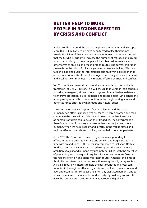# **Better help to more people in regions affected by crisis and conflict**

Violent conflicts around the globe are growing in number and in scope. More than 79 million people have been forced to flee their homes. Nearly 26 million of these people are now refugees. It is to be expected that the COVID-19 crisis will increase the number of refugees and irregular migrants. Many of these people will be subjected to violence and other forms of abuse along the migration routes. The current migration system is on the brink of collapse, yet alternatives are lacking. We must take the lead and push the international community in a direction that offers hope for a better future for refugees, internally displaced persons and local host communities in the regions affected by crisis and conflict.

In 2021 the Government thus maintains the record-high humanitarian framework of DKK 2.7 billion. This will ensure that Denmark can continue providing emergency aid and more long-term humanitarian assistance to improve protection, build resilience and create better living conditions among refugees and host communities in the neighbouring areas and other countries affected by manmade and natural crises.

The international asylum system faces challenges and the global humanitarian effort is under great pressure. Children, women and men continue to be the victims of abuse and drown in the Mediterranean as human traffickers capitalise on their tragedies. The Government is therefore working for an asylum system that is more just and more humane. When we help close by and directly in the fragile states and regions affected by crisis and conflict, we can help more people better.

As in 2020, the Government is once again increasing funding for efforts in regions affected by crisis and conflict and fragile states – this time with an additional DKK 350 million compared to last year. Of this funding, DKK 110 million is earmarked to support the Government's ambition of a just and humane asylum system (ROHA) with the objective of preventing and managing irregular migration and refugee flows in the regions of origin and along migratory routes. Amongst the aims of this initiative is to ensure better protection along the migratory routes. It is also in our own interest to help the host countries and local communities in the regions affected by crisis and conflict to create hope and new opportunities for refugees and internally displaced persons, and to break the vicious circle of conflict and poverty. By so doing, we will also ease the refugee pressures in Denmark, Europe and globally.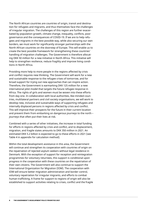The North African countries are countries of origin, transit and destination for refugees and migrants, and thus themselves face the challenges of irregular migration. The challenges of this region are further exacerbated by population growth, climate change, inequality, conflicts, poor governance and the consequences of COVID-19. If we are to help refugees and migrants in the best possible way, while also securing our own borders, we must work for significantly stronger partnerships with the North African countries on the doorstep of Europe. This will enable us to create the best possible framework for strengthening these countries' handling of migration challenges. The Government is therefore allocating DKK 50 million for a new initiative in North Africa. This initiative will help to strengthen resilience, reduce fragility and improve living conditions in North Africa.

Providing more help to more people in the regions affected by crisis and conflict requires new thinking. The Government will work for a new and sustainable response to the refugee crises of tomorrow, and for broad support for trying out new approaches that can inspire action. Therefore, the Government is earmarking DKK 125 million for a new international pilot model that targets the future refugee response in Africa. The rights of girls and women must be woven into these efforts from day one. In collaboration with local authorities, like-minded countries, multilateral partners and civil society organisations, we will work to develop new, inclusive and sustainable ways of supporting refugees and internally displaced persons in regions affected by crisis and conflict. This will improve their prospects for the future in their current location and prevent them from embarking on dangerous journeys to the north – journeys that often put their lives at risk.

Combined with a series of other initiatives, the increase in total funding for efforts in regions affected by crisis and conflict, and to displacement, migration, and fragile states amounts to DKK 350 million in 2021. An estimated DKK 5.2 billion is expected to go to these efforts in 2021 (see Table 4 in appendix for calculation method).

Within the total development assistance in this area, the Government will continue and strengthen its cooperation with countries of origin on the repatriation of rejected asylum seekers without legal residence in Denmark. With the exception of support for reception and reintegration programmes for voluntary returnees, this support is conditional upon progress in the cooperation with these countries on the repatriation of their own citizens. The Government will also continue to support the International Organization for Migration (IOM). The cooperation with IOM will ensure better migration administration and border control, voluntary repatriation for irregular migrants, and efforts to combat human trafficking. A frame for support to regions of origin will also be established to support activities relating to crises, conflict and the fragile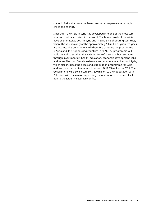states in Africa that have the fewest resources to persevere through crises and conflict.

Since 2011, the crisis in Syria has developed into one of the most complex and protracted crises in the world. The human costs of the crisis have been massive, both in Syria and in Syria's neighbouring countries, where the vast majority of the approximately 5.6 million Syrian refugees are located. The Government will therefore continue the programme in Syria and its neighbouring countries in 2021. The programme will build on and strengthen the activities for refugees and host societies through investments in health, education, economic development, jobs and more. The total Danish assistance commitment in and around Syria, which also includes the peace and stabilisation programme for Syria and Iraq, is expected to amount to at least DKK 700 million in 2021. The Government will also allocate DKK 200 million to the cooperation with Palestine, with the aim of supporting the realisation of a peaceful solution to the Israeli-Palestinian conflict.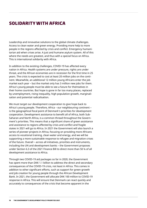## **Solidarity with Africa**

Leadership and innovative solutions to the global climate challenges. Access to clean water and green energy. Providing more help to more people in the regions affected by crisis and conflict. Emergency humanitarian aid when crises arise. A just and humane asylum system. All of this where the needs are greatest, and thus with a special focus on Africa. This is international solidarity with Africa.

In addition to the existing challenges, COVID-19 has affected every nation in Africa. Health systems are under pressure, rights are under threat, and the African economies are in recession for the first time in 25 years. The crisis is expected to cost at least 20 million jobs on the continent. Meanwhile, an additional 12 million young Africans enter the job market each year – but the market only has 3 million new jobs for them. Africa's young people must be able to see a future for themselves in their home countries. But hope is gone in far too many places, replaced by unemployment, rising inequality, high population growth, marginalisation and potential radicalisation.

We must target our development cooperation to give hope back to Africa's young people. Therefore, Africa – our neighbouring continent – is the geographical focal point of Denmark's priorities for development cooperation. Development assistance to benefit all of Africa, both Sub-Saharan and North Africa, is a common thread throughout the Government's priorities. This means that a significant share of green assistance and assistance to regions affected by crisis and conflict and fragile states in 2021 will go to Africa. In 2021 the Government will also launch a series of pioneer projects in Africa, focusing on providing more Africans access to vocational training, clean water and energy, and we will be supporting a more sustainable response to refugee and migration crises of the future. Overall – across all initiatives, priorities and instruments, including the UN and development banks – the Government proposes under Section 6.3 of the 2021 Finance Bill to direct more than 50 % of all development assistance to Africa.

Through two COVID-19 aid packages so far in 2020, the Government has spent more than DKK 1.1 billion to address the direct and secondary consequences of the COVID-19 crisis, not least in Africa. This comes in addition to other significant efforts, such as support for green growth and job creation for young people through the African Development Bank. In 2021, the Government will allocate DKK 100 million to COVID-19 response in Africa. This will ensure that Denmark can react quickly and accurately to consequences of the crisis that become apparent in the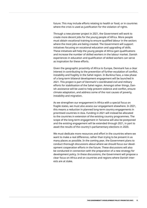future. This may include efforts relating to health or food, or in countries where the crisis is used as justification for the violation of rights.

Through a new pioneer project in 2021, the Government will work to create more decent jobs for the young people of Africa. More people must obtain vocational training to ensure qualified labour in the sectors where the most jobs are being created. The Government will support initiatives focusing on vocational education and upgrading of skills. These initiatives will help the young people of Africa gain qualifications and increase the number of skilled workers in the labour market. Danish experiences in education and qualification of skilled workers can serve as inspiration for these efforts.

Given the geographic proximity of Africa to Europe, Denmark has a clear interest in contributing to the prevention of further escalation of conflict, instability and fragility in the Sahel region. In Burkina Faso, a new phase of a long-term bilateral development engagement will be launched in 2021. This project is part of Denmark's coordinated civil and military efforts for stabilisation of the Sahel region. Amongst other things, Danish assistance will be used to help prevent violence and conflict, ensure climate adaptation, and address some of the root causes of poverty, instability and migration.

As we strengthen our engagement in Africa with a special focus on fragile states, we must also assess our engagement elsewhere. In 2021, this means a reduction in planned long-term country engagements in prioritised countries in Asia. Funding in 2021 will instead be allocated to the countries in extension of the existing country programmes. The scope of the long-term engagement in Tanzania will also be postponed and the existing engagement will be extended through 2021, in part to await the results of the country's parliamentary elections in 2020.

We must dedicate more resources and effort in the countries where we want to make a real difference, rather than trying to be present in as many places as possible. In the coming year, the Government plans to conduct thorough discussions about where we should focus our development cooperation efforts in the future. These discussions will also be conducted in connection with the preparation of a new strategy for development policy. In these discussions, the Government will propose a clear focus on Africa and on countries and regions where Danish interests are at stake.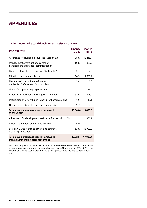## **Appendices**

#### **Table 1. Denmark's total development assistance in 2021**

| <b>DKK millions</b>                                                             | <b>Finance Finance</b><br>act 20 | <b>bill 21</b> |
|---------------------------------------------------------------------------------|----------------------------------|----------------|
| Assistance to developing countries (Section 6.3)                                | 14,383.2                         | 13,419.7       |
| Management, oversight and control of<br>development assistance (administration) | 800.3                            | 803.9          |
| Danish Institute for International Studies (DIIS)                               | 21.1                             | 24.3           |
| EU's fixed development budget                                                   | 1,242.0                          | 1,897.2        |
| Elements of international efforts by<br>the Danish Defence and Danish police    | 39.9                             | 40.3           |
| Share of UN peacekeeping operations                                             | 37.5                             | 33.4           |
| Expenses for reception of refugees in Denmark                                   | 319.8                            | 324.4          |
| Distribution of lottery funds to non-profit organisations                       | 12.7                             | 13.1           |
| Other (contributions to UN organisations, etc.)                                 | 91.9                             | 97.0           |
| <b>Total development assistance framework</b><br>(0.7% of GNI)                  | 16.948.4                         | 16,653.3       |
| Adjustment for development assistance framework in 2019                         |                                  | 380.1          |
| Political agreement on the 2020 Finance Act                                     | 150.0                            |                |
| Section 6.3. Assistance to developing countries,<br>including adjustment        | 14,533.2                         | 13,799.8       |
| Total development assistance framework,<br>incl. adjustment/political agreement | 17,098.4                         | 17,033.4       |

Note: Development assistance in 2019 is adjusted by DKK 380.1 million. This is done to maintain development assistance allocated in the Finance Act at 0.7% of GNI, calculated as a three-year average for 2019-2021 pursuant to the adjustment mechanism.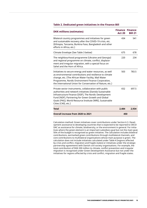#### **Table 2. Dedicated green initiatives in the Finance Bill**

| <b>DKK millions (estimates)</b>                                                                                                                                                                                                                                                                                    | <b>Act 20</b> | <b>Finance Finance</b><br><b>Bill 21</b> |
|--------------------------------------------------------------------------------------------------------------------------------------------------------------------------------------------------------------------------------------------------------------------------------------------------------------------|---------------|------------------------------------------|
| Bilateral country programmes and initiatives for green<br>and sustainable recovery after the COVID-19 crisis, etc.<br>(Ethiopia, Tanzania, Burkina Faso, Bangladesh and other<br>efforts in Africa, etc.)                                                                                                          | 434           | 541                                      |
| Climate Envelope (See Table 3 below)                                                                                                                                                                                                                                                                               | 675           | 678                                      |
| The neighbourhood programme (Ukraine and Georgia)<br>and regional programme on climate, conflict, displace-<br>ment and irregular migration, with a special focus on<br>Sahel and the Horn of Africa.                                                                                                              | 220           | 234                                      |
| Initiatives to secure energy and water resources, as well<br>as environmental contributions and resilience to climate<br>change, etc. (The African Water Facility, Mali Water<br>Programme, Nordic Environment Finance Corporation,<br>the International Union for Conservation of Nature, etc.)                   | 503           | 783.5                                    |
| Private sector instruments, collaboration with public<br>authorities and network initiatives (Danida Sustainable<br>Infrastructure Finance (DSIF), The Nordic Development<br>Fund (NDF), Partnering for Green Growth and Global<br>Goals (P4G), World Resource Institute (WRI), Sustainable<br>Cities (C40), etc.) | 652           | 697.5                                    |
| <b>Total</b>                                                                                                                                                                                                                                                                                                       | 2.484         | 2.934                                    |
| Overall increase from 2020 to 2021                                                                                                                                                                                                                                                                                 | 450           |                                          |

Calculation method: Green initiatives cover contributions under Section 6.3. Development assistance to developing countries that is expected to be reported to OECD DAC as assistance for climate, biodiversity, or the environment in general. For initiatives where the green element is an important subsidiary goal but not the main goal, 50% of the budget is recognised as green initiative. The calculation includes bilateral contributions, earmarked green contributions through multilateral channels, and core contributions to multilateral organisations whose main purpose is green. The calculation does not include initiatives calculated under Table 4 (regions affected by crisis and conflict, migration and fragile states) or initiatives under the strategic partnership agreements with Danish civil society organisations. For example, the total contribution of DKK 200 million to climate, conflict prevention and irregular migration is recognised under Green Development Assistance but not under the initiatives for regions affected by crisis and conflict, migration and fragile states.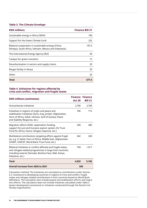#### **Table 3. The Climate Envelope**

| <b>DKK millions</b>                                                                                           | <b>Finance Bill 21</b> |
|---------------------------------------------------------------------------------------------------------------|------------------------|
| Sustainable energy in Africa (SEFA)                                                                           | 100                    |
| Support for the Green Climate Fund                                                                            | 225                    |
| Bilateral cooperation in sustainable energy (China,<br>Ethiopia, South Africa, Vietnam, Mexico and Indonesia) | 197.5                  |
| The International Energy Agency (IEA)                                                                         | 50                     |
| Catalyst for green transition                                                                                 | 15                     |
| Decarbonisation in sectors and supply chains                                                                  | 20                     |
| Biogas facility in Kenya                                                                                      | 50                     |
| Other                                                                                                         | 20                     |
| Total                                                                                                         | 677.5                  |

#### **Table 4. Initiatives for regions affected by crisis and conflict, migration and fragile states**

| <b>DKK millions (estimates)</b>                                                                                                                                                                          | <b>Act 20</b> | <b>Finance Finance</b><br><b>Bill 21</b> |
|----------------------------------------------------------------------------------------------------------------------------------------------------------------------------------------------------------|---------------|------------------------------------------|
| Humanitarian initiatives                                                                                                                                                                                 | 2,700         | 2,700                                    |
| Initiatives in regions of origin and peace and<br>stabilisation initiatives (Syria, Iraq, Jordan, Afghanistan,<br>Horn of Africa, Sahel, Ukraine, Gulf of Guinea, Peace<br>and Stability Response, etc.) | 706           | 715                                      |
| Migration efforts (IOM, repatriation funding,<br>support for just and humane asylum system, EU Trust<br>Fund for Africa, future refugee response, etc.)                                                  | 290           | 490                                      |
| Multilateral contributions targeting efforts against fragil-<br>ity, e.g. in Sahel, Horn of Africa, Middle East, Afghanistan<br>(UNDP, UNICEF, World Bank Trust Fund, etc.)                              | 342           | 260                                      |
| Bilateral initiatives in conflict-affected and fragile states,<br>and refugee-related programmes in large host countries,<br>including reserve (Somalia, Burkina Faso, Mali, Kenya,<br>Palestine, etc.)  | 794           | 1.017                                    |
| Total                                                                                                                                                                                                    | 4,832         | 5,182                                    |
| Overall increase from 2020 to 2021                                                                                                                                                                       | 350           |                                          |

Calculation method: The initiatives are calculated as contributions under Section 6.3. Assistance to developing countries in regions of crisis and conflict, fragile states and refugee-related contributions in host countries based on World Bank definitions. The calculation also includes peace and stabilisation efforts and migration efforts. The calculation does not include initiatives calculated under Table 2 (green development assistance) or initiatives conducted through the Danish civil society organisations.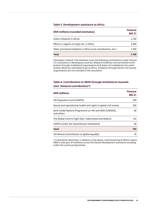#### **Table 5. Development assistance to Africa**

| <b>DKK millions (rounded estimates)</b>                            | <b>Finance</b><br><b>Bill 21</b> |  |  |
|--------------------------------------------------------------------|----------------------------------|--|--|
| Green initiatives in Africa                                        | 2,100                            |  |  |
| Efforts in regions of origin etc. in Africa                        | 2,300                            |  |  |
| Other prioritised initiatives in Africa (core contributions, etc.) | 2,700                            |  |  |
| Total                                                              | 7.100                            |  |  |

Calculation method: The initiatives cover the following contributions under Section 6.3. Assistance to developing countries: Bilateral initiatives and earmarked contributions through multilateral organisations and shares of multilateral core contributions which are estimated to go to Africa. Initiatives through Danish civil society organisations are not included in the calculation.

### **Table 6. Contributions to SRHR through multilateral channels (excl. bilateral contributions\*)**

| <b>DKK millions</b>                                                    | <b>Finance</b><br><b>Bill 21</b> |
|------------------------------------------------------------------------|----------------------------------|
| UN Population Fund (UNFPA)                                             | 350                              |
| Sexual and reproductive health and rights in global civil society      | 200                              |
| Joint United Nations Programme on HIV and AIDS (UNAIDS),<br>and others | 40                               |
| The Global Fund to Fight Aids, Tuberculosis and Malaria                | 125                              |
| UNFPA (under the humanitarian framework)                               | 40                               |
| Total                                                                  | 755                              |
| UN Women (contribution to global equality)                             | 78                               |

\* It should be noted that, in addition to the above, mainstreaming of efforts means SRSR is also part of initiatives across the Danish development assistance including under the country programmes.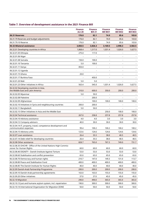## **Table 7. Overview of development assistance in the 2021 Finance Bill**

|                                                                                          | <b>Finance</b><br><b>Act 20</b> | <b>Finance</b><br><b>Bill 21</b> | <b>Finance</b><br><b>Bill BO1</b> | <b>Finance</b><br><b>Bill BO2</b> | <b>Finance</b><br><b>Bill BO3</b> |
|------------------------------------------------------------------------------------------|---------------------------------|----------------------------------|-----------------------------------|-----------------------------------|-----------------------------------|
| 06.31 Reserves                                                                           | 176.0                           | 82.1                             | 74.9                              | 85.6                              | 103.8                             |
| 06.31.79 Reserves and budget adjustments                                                 | 176.0                           | 82.1                             | 74.9                              | 85.6                              | 103.8                             |
| 06.31.79.10 Reserve                                                                      | 176.0                           | 82.1                             | 74.9                              | 85.6                              | 103.8                             |
| 06.32 Bilateral assistance                                                               | 3,850.5                         | 3,826.3                          | 3,169.5                           | 2,998.3                           | 3,582.5                           |
| 06.32.01 Developing countries in Africa                                                  | 1,868.4                         | 1,317.0                          | 1,031.4                           | 1,026.0                           | 1,627.5                           |
| 06.32.01.05 Ethiopia                                                                     | 275.0                           | 117.0                            |                                   |                                   |                                   |
| 06.32.01.06 Niger                                                                        |                                 |                                  | $\overline{a}$                    |                                   |                                   |
| 06.32.01.08 Somalia                                                                      | 150.0                           | 100.0                            | $\overline{\phantom{a}}$          | $\overline{a}$                    |                                   |
| 06.32.01.10 Tanzania                                                                     | 5.0                             | 100.0                            |                                   |                                   |                                   |
| 06.32.01.11 Kenya                                                                        | 850.0                           | $\overline{\phantom{0}}$         | $\overline{a}$                    |                                   |                                   |
| 06.32.01.12 Uganda                                                                       | $\overline{a}$                  | $\overline{\phantom{a}}$         | $\overline{\phantom{a}}$          | $\overline{a}$                    |                                   |
| 06.32.01.15 Ghana                                                                        | 20.0                            |                                  | $\overline{a}$                    |                                   |                                   |
| 06.32.01.17 Burkina Faso                                                                 |                                 | 450.0                            |                                   |                                   |                                   |
| 06.32.01.20 Mali                                                                         | 5.0                             | 5.0                              | $\overline{\phantom{a}}$          | $\overline{a}$                    |                                   |
| 06.32.01.23 Other initiatives in Africa                                                  | 563.4                           | 545.0                            | 1,031.4                           | 1,026.0                           | 1,627.5                           |
| 06.32.02 Developing countries in Asia,<br>the Middle East and Latin America              | 210.0                           | 600.0                            | 350.0                             | 200.0                             | 200.0                             |
| 06.32.02.05 Myanmar                                                                      | 5.0                             | 50.0                             |                                   |                                   |                                   |
| 06.32.02.08 Palestine                                                                    |                                 | 200.0                            |                                   |                                   |                                   |
| 06.32.02.09 Afghanistan                                                                  |                                 | 100.0                            | 100.0                             | 100.0                             | 100.0                             |
| 06.32.02.10 Initiatives in Syria and neighbouring countries                              | 200.0                           | 200.0                            | $\overline{\phantom{a}}$          | $\frac{1}{2}$                     |                                   |
| 06.32.02.11 Bangladesh                                                                   | 5.0                             | 50.0                             |                                   |                                   |                                   |
| 06.32.02.15 Other initiatives in Asia and the Middle East                                |                                 |                                  | 250.0                             | 100.0                             | 100.0                             |
| 06.32.04 Technical assistance                                                            | 267.0                           | 258.8                            | 257.8                             | 257.8                             | 257.8                             |
| 06.32.04.10 Advisory assistance                                                          | 4.0                             | 4.0                              | 3.0                               | 3.0                               | 3.0                               |
| 06.32.04.12 Company advisors                                                             | 40.0                            | 30.0                             | 30.0                              | 30.0                              | 30.0                              |
| 06.32.04.14 IT, property, travel, competence development and<br>communication expenses   | 99.4                            | 100.2                            | 100.2                             | 100.2                             | 100.2                             |
| 06.32.04.15 Advisory units                                                               | 123.6                           | 124.6                            | 124.6                             | 124.6                             | 124.6                             |
| 06.32.07 Loan assistance                                                                 | 26.4                            | 35.5                             | 38.0                              | 40.5                              | 40.5                              |
| 06.32.07.14 Debt relief for developing countries                                         | 26.4                            | 35.5                             | 38.0                              | 40.5                              | 40.5                              |
| 06.32.08 Other assistance                                                                | 828.7                           | 765.0                            | 767.3                             | 749.0                             | 731.7                             |
| 06.32.08.35 OHCHR - Office of the United Nations High Commis-<br>sioner for Human Rights | 60.0                            | 60.0                             | 60.0                              | 60.0                              | 60.0                              |
| 06.32.08.40 DIGNITY - Danish Institute Against Torture                                   | 53.0                            | 53.0                             | 53.0                              | 53.0                              | 53.0                              |
| 06.32.08.60 Stabilisation and conflict prevention                                        | 65.0                            | 65.0                             | 65.0                              | 65.0                              | 65.0                              |
| 06.32.08.70 Democracy and human rights                                                   | 210.7                           | 147.0                            | 149.3                             | 131.0                             | 113.7                             |
| 06.32.08.80 Peace and Stabilisation Fund                                                 | 400.0                           | 400.0                            | 400.0                             | 400.0                             | 400.0                             |
| 06.32.08.85 The Danish Institute for Human Rights                                        | 40.0                            | 40.0                             | 40.0                              | 40.0                              | 40.0                              |
| 06.32.09 Danish-Arab Partnership Programme                                               | 200.0                           | 200.0                            | 200.0                             | 200.0                             | 200.0                             |
| 06.32.09.10 Danish-Arab partnership agreements                                           | 163.0                           | 163.0                            | 155.0                             | 155.0                             | 155.0                             |
| 06.32.09.20 Other initiatives                                                            | 37.0                            | 37.0                             | 45.0                              | 45.0                              | 45.0                              |
| 06.32.10 Migration                                                                       | 290.0                           | 490.0                            | 365.0                             | 365.0                             | 365.0                             |
| 06.32.10.13 Just and humane asylum system, incl. repatriation                            | 190.0                           | 300.0                            | 300.0                             | 300.0                             | 300.0                             |
| 06.32.10.14 International Organization for Migration (IOM)                               | 50.0                            | 50.0                             | 50.0                              | 50.0                              | 50.0                              |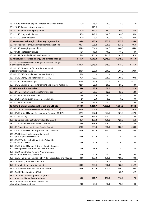| 06.32.10.15 Promotion of pan-European migration efforts                                          | 50.0    | 15.0    | 15.0    | 15.0    | 15.0    |
|--------------------------------------------------------------------------------------------------|---------|---------|---------|---------|---------|
| 06.32.10.16: Future refugee response                                                             |         | 125.0   |         |         |         |
| 06.32.11 Neighbourhood programme                                                                 | 160.0   | 160.0   | 160.0   | 160.0   | 160.0   |
| 06.32.11.10 Program initiatives                                                                  | 140.0   | 140.0   | 140.0   | 140.0   | 140.0   |
| 06.32.11.20 Other initiatives                                                                    | 20.0    | 20.0    | 20.0    | 20.0    | 20.0    |
| 06.33 Assistance through civil society organisations                                             | 935.8   | 935.8   | 935.8   | 935.8   | 935.8   |
| 06.33.01 Assistance through civil society organisations                                          | 935.8   | 935.8   | 935.8   | 935.8   | 935.8   |
| 06.33.01.10 Strategic partnerships                                                               | 664.0   | 664.0   | 664.0   | 664.0   | 664.0   |
| 06.33.01.11 Strategic initiatives                                                                | 10.0    | 10.0    | 10.0    | 10.0    | 10.0    |
| 06.33.01.12 Earmarked funds and networks                                                         | 261.8   | 261.8   | 261.8   | 261.8   | 261.8   |
| 06.34 Natural resources, energy and climate change                                               | 1,445.0 | 1,645.0 | 1,645.0 | 1,645.0 | 1,645.0 |
| 06.34.01 Natural resources, energy and climate change<br>in developing countries                 | 1,445.0 | 1,645.0 | 1,645.0 | 1,645.0 | 1,645.0 |
| 06.34.01.10 Climate, conflict, displacement and<br>irregular migration in Africa                 | 200.0   | 200.0   | 200.0   | 200.0   | 200.0   |
| 06.34.01.35 C40 Cities Climate Leadership Group                                                  | 67.0    |         |         |         |         |
| 06.34.01.40 Energy and water resources, etc.                                                     | 175.0   | 709.5   | 709.5   | 709.5   | 709.5   |
| 06.34.01.70 Climate Envelope                                                                     | 675.0   | 677.5   | 677.5   | 677.5   | 677.5   |
| 06.34.01.75 Environmental contributions and climate resilience                                   | 328.0   | 58.0    | 58.0    | 58.0    | 58.0    |
| 06.35 Information activities                                                                     | 55.0    | 88.5    | 52.0    | 52.0    | 52.0    |
| 06.35.01 Information activities in Denmark, etc.                                                 | 55.0    | 88.5    | 52.0    | 52.0    | 52.0    |
| 06.35.01.13 Information activities                                                               | 28.0    | 64.5    | 28.0    | 28.0    | 28.0    |
| 06.35.01.17 Seminars, courses, conferences, etc.                                                 | 12.0    | 9.0     | 9.0     | 9.0     | 9.0     |
|                                                                                                  |         |         |         |         |         |
| 06.35.01.18 Assessment                                                                           | 15.0    | 15.0    | 15.0    | 15.0    | 15.0    |
| 06.36 Multilateral assistance through the UN, etc.                                               | 1,908.0 | 1,801.7 | 1,932.0 | 1,994.2 | 1,994.5 |
| 06.36.01 United Nations Development Program (UNDP)                                               | 502.0   | 502.0   | 502.0   | 502.0   | 502.0   |
| 06.36.01.10 United Nations Development Program (UNDP)                                            | 327.0   | 327.0   | 327.0   | 327.0   | 327.0   |
| 06.36.01.14 UN City                                                                              | 175.0   | 175.0   | 175.0   | 175.0   | 175.0   |
| 06.36.02 United Nations Children's Fund (UNICEF)                                                 | 125.0   | 125.0   | 125.0   | 125.0   | 125.0   |
| 06.36.02.10 General contribution to UNICEF                                                       | 125.0   | 125.0   | 125.0   | 125.0   | 125.0   |
| 06.36.03 Population, Health and Gender Equality                                                  | 828.0   | 863.0   | 888.0   | 888.0   | 888.0   |
| 06.36.03.10 United Nations Population Fund (UNFPA)                                               | 350.0   | 350.0   | 350.0   | 350.0   | 350.0   |
| 06.36.03.11 Sexual and reproductive health<br>and rights of global civil society                 | 225.0   | 200.0   | 200.0   | 225.0   | 225.0   |
| 06.36.03.12 World Health Organization's (WHO)<br>development activities                          | 35.0    | 70.0    | 70.0    | 70.0    | 70.0    |
| 06.36.03.13 United Nations Entity for Gender Equality<br>and the Empowerment of Women (UN Women) | 78.0    | 78.0    | 78.0    | 78.0    | 78.0    |
| 06.36.03.14 Joint United Nations Programme on<br>HIV and AIDS (UNAIDS), and others               | 40.0    | 40.0    | 40.0    | 40.0    | 40.0    |
| 06.36.03.16 The Global Fund to Fight Aids, Tuberculosis and Malaria                              | 100.0   | 125.0   | 125.0   | 100.0   | 100.0   |
| 06.36.03.17 Gavi, the Vaccine Alliance                                                           |         |         | 25.0    | 25.0    | 25.0    |
| 06.36.04 Multilateral education initiatives                                                      | 300.0   | 200.0   | 300.0   | 362.5   | 362.5   |
| 06.36.04.10 Global Partnership for Education                                                     | 300.0   | 200.0   | 300.0   | 300.0   | 300.0   |
| 06.36.04.11 Education Cannot Wait                                                                |         |         |         | 62.5    | 62.5    |
| 06.36.06 Other UN development programs<br>and various multilateral contributions                 | 153.0   | 111.7   | 117.0   | 116.7   | 117.0   |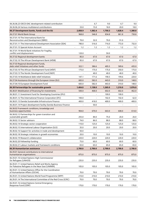| 06.36.06.23 OECD-DAC development-related contribution                                                 |                                 | 6.7                             | 9.0                             | 6.7     | 9.0     |
|-------------------------------------------------------------------------------------------------------|---------------------------------|---------------------------------|---------------------------------|---------|---------|
| 06.36.06.24 Various multilateral contributions                                                        | 33.0                            | 15.0                            | 18.0                            | 20.0    | 18.0    |
| 06.37 Development banks, funds and the EU                                                             | 2,058.9                         | 1,582.4                         | 1,750.3                         | 1,828.4 | 1,380.8 |
| 06.37.01 World Bank Group                                                                             | 968.8                           | 546.8                           | 834.8                           | 861.8   | 730.8   |
| 06.37.01.10 The International Bank for<br>Reconstruction and Development (IBRD)                       | 70.0                            | 32.0                            | 70.0                            | 91.0    |         |
| 06.37.01.11 The International Development Association (IDA)                                           | 780.0                           | 516.0                           | 716.0                           | 772.0   | 732.0   |
| 06.37.01.15 Special Action Account                                                                    | 1.2<br>$\overline{\phantom{a}}$ | 1.2<br>$\overline{\phantom{a}}$ | 1.2<br>$\overline{\phantom{a}}$ | 1.2     | 1.2     |
| 06.37.01.19 World Bank initiatives for fragility,<br>conflict and displacement                        | 120.0                           |                                 | 50.0                            |         |         |
| 06.37.02 Regional development banks                                                                   | 85.0                            | 67.0                            | 67.0                            | 67.0    | 67.0    |
| 06.37.02.10 The African Development Bank (AfDB)                                                       | 85.0                            | 67.0                            | 67.0                            | 67.0    | 67.0    |
| 06.37.03 Regional development funds,<br>debt relief initiatives and other funds                       | 322.1                           | 386.6                           | 405.5                           | 589.6   | 435.0   |
| 06.37.03.10 The African Development Fund (AfDF)                                                       | 175.0                           | 175.0                           | 175.0                           | 350.0   | 175.0   |
| 06.37.03.13 The Nordic Development Fund (NDF)                                                         |                                 | 40.0                            | 40.0                            | 40.0    | 40.0    |
| 06.37.03.14 Multilateral debt relief initiatives                                                      | 147.1                           | 171.6                           | 190.5                           | 199.6   | 220.0   |
| 06.37.04 Assistance through the European Union (EU)                                                   | 683.0                           | 582.0                           | 443.0                           | 310.0   | 148.0   |
| 06.37.04.10 European Development Fund                                                                 | 683.0                           | 582.0                           | 443.0                           | 310.0   | 148.0   |
| 06.38 Partnerships for sustainable growth                                                             | 1,404.0                         | 1,138.0                         | 1,265.0                         | 1,210.0 | 1,076.0 |
| 06.38.01 Mobilisation of financing for investments                                                    | 500.0                           | 468.0                           | 602.0                           | 602.0   | 462.0   |
| 06.38.01.11 Investment Fund for Developing Countries (IFU)                                            |                                 |                                 | 100.0                           | 100.0   |         |
| 06.38.01.12 The International Finance Corporation (IFC)                                               | 100.0                           |                                 | 102.0                           | 102.0   | 62.0    |
| 06.38.01.13 Danida Sustainable Infrastructure Finance                                                 | 400.0                           | 418.0                           | 400.0                           | 400.0   | 400.0   |
| 06.38.01.14 Project development facility Danida Business Finance                                      |                                 | 50.0                            |                                 |         |         |
| 06.38.02 Framework conditions, knowledge and<br>business opportunities                                | 904.0                           | 670.0                           | 663.0                           | 608.0   | 614.0   |
| 06.38.02.12 Partnerships for green transition and<br>sustainable growth                               | 255.0                           | 84.0                            | 75.0                            | 20.0    | 26.0    |
| 06.38.02.13 Sector advisors                                                                           | 74.0                            | 86.0                            | 88.0                            | 88.0    | 88.0    |
| 06.38.02.14 Strategic sector cooperation                                                              | 110.0                           | 125.0                           | 125.0                           | 125.0   | 125.0   |
| 06.38.02.15 International Labour Organization (ILO)                                                   | 35.0                            | 20.0                            | 20.0                            | 20.0    | 20.0    |
| 06.38.02.16 Support for activities in trade and development                                           | 50.0                            | $\overline{\phantom{a}}$        | $\overline{a}$                  |         |         |
| 06.38.02.18 Strategic initiatives in growth economies                                                 | 20.0                            | 10.0                            | 10.0                            | 10.0    | 10.0    |
| 06.38.02.19 Research collaboration                                                                    | 220.0                           | 220.0                           | 220.0                           | 220.0   | 220.0   |
| 06.38.02.20 Fellowship funding                                                                        | 75.0                            | 60.0                            | 60.0                            | 60.0    | 60.0    |
| 06.38.02.21 Labour markets and framework conditions                                                   | 65.0                            | 65.0                            | 65.0                            | 65.0    | 65.0    |
| 06.39 Humanitarian assistance                                                                         | 2,700.0                         | 2,700.0                         | 2,700.0                         | 2,700.0 | 2,700.0 |
| 06.39.01 General contributions to international<br>humanitarian organisations                         | 875.0                           | 875.0                           | 875.0                           | 875.0   | 875.0   |
| 06.39.01.10 United Nations High Commissioner<br>for Refugees (UNHCR)                                  | 235.0                           | 235.0                           | 235.0                           | 235.0   | 235.0   |
| 06.39.01.11 United Nations Relief and Works Agency<br>for Palestine Refugees in the Near East (UNRWA) | 105.0                           | 105.0                           | 105.0                           | 105.0   | 105.0   |
| 06.39.01.12 United Nations Office for the Coordination<br>of Humanitarian Affairs (OCHA)              | 70.0                            | 70.0                            | 70.0                            | 70.0    | 70.0    |
| 06.39.01.13 United Nations World Food Programme (WFP)                                                 | 210.0                           | 210.0                           | 210.0                           | 210.0   | 210.0   |
| 06.39.01.14 The International Committee of the Red Cross (ICRC)                                       | 70.0                            | 70.0                            | 70.0                            | 70.0    | 70.0    |
| 06.39.01.16 United Nations Central Emergency<br>Response Fund (CERF)                                  | 170.0                           | 170.0                           | 170.0                           | 170.0   | 170.0   |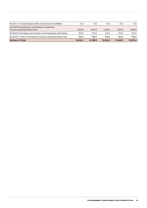| 06.39.01.17 United Nations Mine Action Service (UNMAS)                            | 15.0     | 15.0     | 15.0     | 15.0     | 15.0     |
|-----------------------------------------------------------------------------------|----------|----------|----------|----------|----------|
| 06.39.03 Humanitarian contributions to partners<br>in acute and protracted crises | 1,825.0  | 1,825.0  | 1,825.0  | 1,825.0  | 1,825.0  |
| 06.39.03.10 Strategic partnerships and emergency aid funding                      | 919.0    | 919.0    | 919.0    | 919.0    | 919.0    |
| 06.39.03.11 Other contributions to acute and protracted crises                    | 906.0    | 906.0    | 906.0    | 906.0    | 906.0    |
| <b>Section 6.3 Total</b>                                                          | 14,533.2 | 13.799.8 | 13.524.5 | 13,449.3 | 13,470.4 |